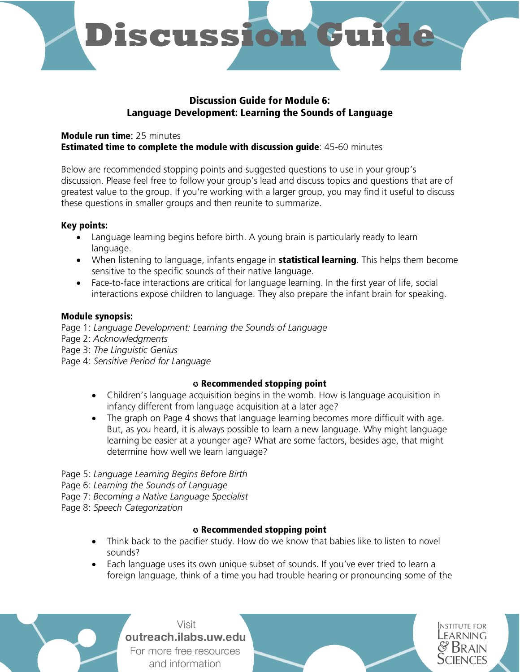

# Discussion Guide for Module 6: Language Development: Learning the Sounds of Language

## Module run time: 25 minutes Estimated time to complete the module with discussion guide: 45-60 minutes

Below are recommended stopping points and suggested questions to use in your group's discussion. Please feel free to follow your group's lead and discuss topics and questions that are of greatest value to the group. If you're working with a larger group, you may find it useful to discuss these questions in smaller groups and then reunite to summarize.

## Key points:

- Language learning begins before birth. A young brain is particularly ready to learn language.
- When listening to language, infants engage in **statistical learning**. This helps them become sensitive to the specific sounds of their native language.
- Face-to-face interactions are critical for language learning. In the first year of life, social interactions expose children to language. They also prepare the infant brain for speaking.

## Module synopsis:

Page 1: *Language Development: Learning the Sounds of Language*

- Page 2: *Acknowledgments*
- Page 3: *The Linguistic Genius*
- Page 4: *Sensitive Period for Language*

## ✪ Recommended stopping point

- Children's language acquisition begins in the womb. How is language acquisition in infancy different from language acquisition at a later age?
- The graph on Page 4 shows that language learning becomes more difficult with age. But, as you heard, it is always possible to learn a new language. Why might language learning be easier at a younger age? What are some factors, besides age, that might determine how well we learn language?

Page 5: *Language Learning Begins Before Birth*

Page 6: *Learning the Sounds of Language*

Page 7: *Becoming a Native Language Specialist*

Page 8: *Speech Categorization*

## ✪ Recommended stopping point

- Think back to the pacifier study. How do we know that babies like to listen to novel sounds?
- Each language uses its own unique subset of sounds. If you've ever tried to learn a foreign language, think of a time you had trouble hearing or pronouncing some of the

**INSTITUTE FOR** Learning

**AIN** 

Visit outreach.ilabs.uw.edu For more free resources and information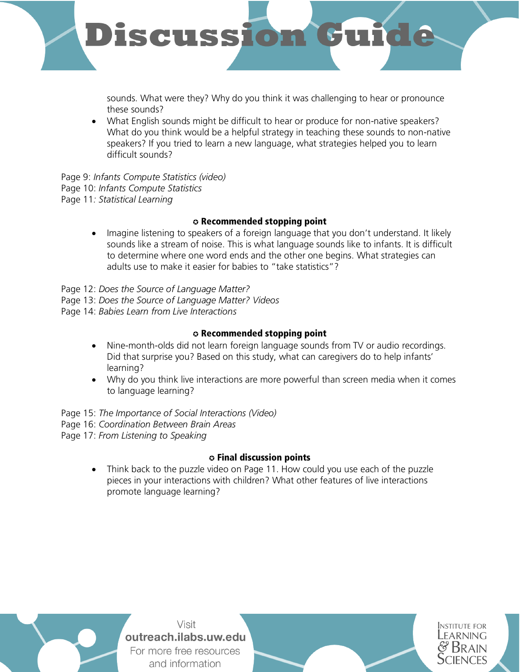

sounds. What were they? Why do you think it was challenging to hear or pronounce these sounds?

• What English sounds might be difficult to hear or produce for non-native speakers? What do you think would be a helpful strategy in teaching these sounds to non-native speakers? If you tried to learn a new language, what strategies helped you to learn difficult sounds?

Page 9: *Infants Compute Statistics (video)* Page 10: *Infants Compute Statistics* Page 11*: Statistical Learning*

## ✪ Recommended stopping point

• Imagine listening to speakers of a foreign language that you don't understand. It likely sounds like a stream of noise. This is what language sounds like to infants. It is difficult to determine where one word ends and the other one begins. What strategies can adults use to make it easier for babies to "take statistics"?

Page 12: *Does the Source of Language Matter?*

- Page 13: *Does the Source of Language Matter? Videos*
- Page 14: *Babies Learn from Live Interactions*

## ✪ Recommended stopping point

- Nine-month-olds did not learn foreign language sounds from TV or audio recordings. Did that surprise you? Based on this study, what can caregivers do to help infants' learning?
- Why do you think live interactions are more powerful than screen media when it comes to language learning?

Page 15: *The Importance of Social Interactions (Video)*

Page 16: *Coordination Between Brain Areas*

Page 17: *From Listening to Speaking*

#### ✪ Final discussion points

• Think back to the puzzle video on Page 11. How could you use each of the puzzle pieces in your interactions with children? What other features of live interactions promote language learning?

Visit outreach.ilabs.uw.edu For more free resources and information